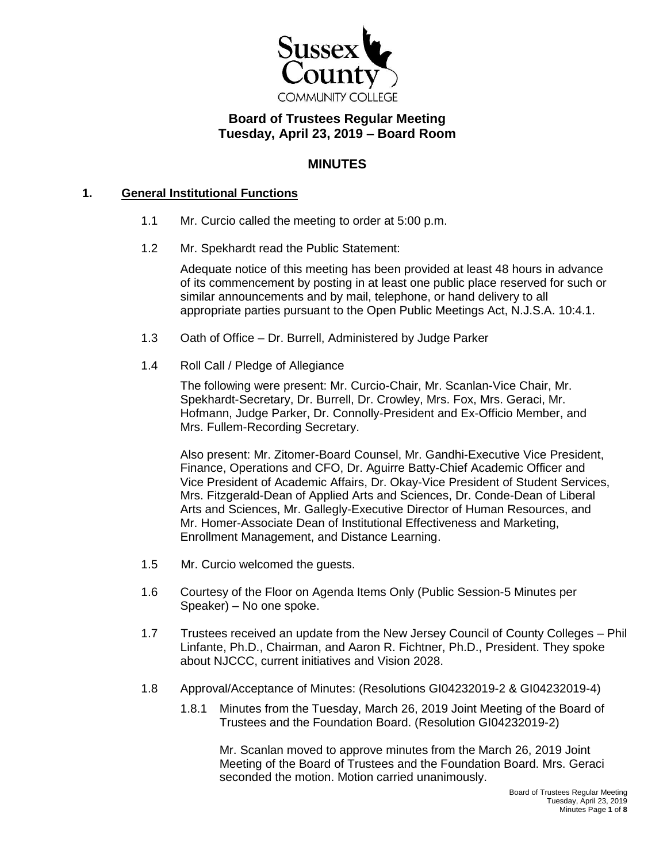

# **Board of Trustees Regular Meeting Tuesday, April 23, 2019 – Board Room**

### **MINUTES**

### **1. General Institutional Functions**

- 1.1 Mr. Curcio called the meeting to order at 5:00 p.m.
- 1.2 Mr. Spekhardt read the Public Statement:

Adequate notice of this meeting has been provided at least 48 hours in advance of its commencement by posting in at least one public place reserved for such or similar announcements and by mail, telephone, or hand delivery to all appropriate parties pursuant to the Open Public Meetings Act, N.J.S.A. 10:4.1.

- 1.3 Oath of Office Dr. Burrell, Administered by Judge Parker
- 1.4 Roll Call / Pledge of Allegiance

The following were present: Mr. Curcio-Chair, Mr. Scanlan-Vice Chair, Mr. Spekhardt-Secretary, Dr. Burrell, Dr. Crowley, Mrs. Fox, Mrs. Geraci, Mr. Hofmann, Judge Parker, Dr. Connolly-President and Ex-Officio Member, and Mrs. Fullem-Recording Secretary.

Also present: Mr. Zitomer-Board Counsel, Mr. Gandhi-Executive Vice President, Finance, Operations and CFO, Dr. Aguirre Batty-Chief Academic Officer and Vice President of Academic Affairs, Dr. Okay-Vice President of Student Services, Mrs. Fitzgerald-Dean of Applied Arts and Sciences, Dr. Conde-Dean of Liberal Arts and Sciences, Mr. Gallegly-Executive Director of Human Resources, and Mr. Homer-Associate Dean of Institutional Effectiveness and Marketing, Enrollment Management, and Distance Learning.

- 1.5 Mr. Curcio welcomed the guests.
- 1.6 Courtesy of the Floor on Agenda Items Only (Public Session-5 Minutes per Speaker) – No one spoke.
- 1.7 Trustees received an update from the New Jersey Council of County Colleges Phil Linfante, Ph.D., Chairman, and Aaron R. Fichtner, Ph.D., President. They spoke about NJCCC, current initiatives and Vision 2028.
- 1.8 Approval/Acceptance of Minutes: (Resolutions GI04232019-2 & GI04232019-4)
	- 1.8.1 Minutes from the Tuesday, March 26, 2019 Joint Meeting of the Board of Trustees and the Foundation Board. (Resolution GI04232019-2)

Mr. Scanlan moved to approve minutes from the March 26, 2019 Joint Meeting of the Board of Trustees and the Foundation Board. Mrs. Geraci seconded the motion. Motion carried unanimously.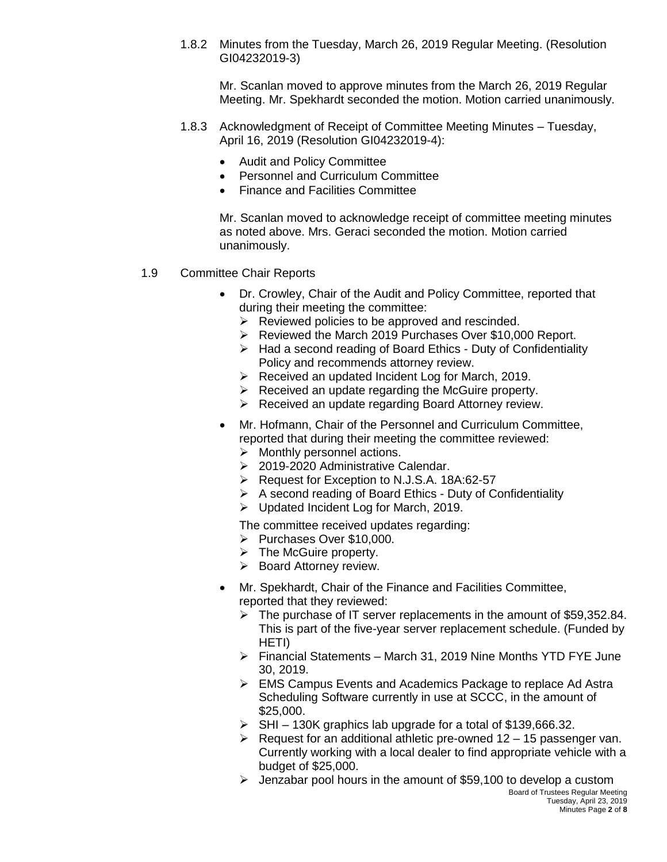1.8.2 Minutes from the Tuesday, March 26, 2019 Regular Meeting. (Resolution GI04232019-3)

Mr. Scanlan moved to approve minutes from the March 26, 2019 Regular Meeting. Mr. Spekhardt seconded the motion. Motion carried unanimously.

- 1.8.3 Acknowledgment of Receipt of Committee Meeting Minutes Tuesday, April 16, 2019 (Resolution GI04232019-4):
	- Audit and Policy Committee
	- Personnel and Curriculum Committee
	- Finance and Facilities Committee

Mr. Scanlan moved to acknowledge receipt of committee meeting minutes as noted above. Mrs. Geraci seconded the motion. Motion carried unanimously.

- 1.9 Committee Chair Reports
	- Dr. Crowley, Chair of the Audit and Policy Committee, reported that during their meeting the committee:
		- $\triangleright$  Reviewed policies to be approved and rescinded.
		- ▶ Reviewed the March 2019 Purchases Over \$10,000 Report.
		- $\triangleright$  Had a second reading of Board Ethics Duty of Confidentiality Policy and recommends attorney review.
		- $\triangleright$  Received an updated Incident Log for March, 2019.
		- $\triangleright$  Received an update regarding the McGuire property.
		- ▶ Received an update regarding Board Attorney review.
	- Mr. Hofmann, Chair of the Personnel and Curriculum Committee, reported that during their meeting the committee reviewed:
		- $\triangleright$  Monthly personnel actions.
		- ▶ 2019-2020 Administrative Calendar.
		- Request for Exception to N.J.S.A. 18A:62-57
		- $\triangleright$  A second reading of Board Ethics Duty of Confidentiality
		- $\triangleright$  Updated Incident Log for March, 2019.

The committee received updates regarding:

- Purchases Over \$10,000.
- $\triangleright$  The McGuire property.
- $\triangleright$  Board Attorney review.
- Mr. Spekhardt, Chair of the Finance and Facilities Committee, reported that they reviewed:
	- $\triangleright$  The purchase of IT server replacements in the amount of \$59,352.84. This is part of the five-year server replacement schedule. (Funded by HETI)
	- Financial Statements March 31, 2019 Nine Months YTD FYE June 30, 2019.
	- EMS Campus Events and Academics Package to replace Ad Astra Scheduling Software currently in use at SCCC, in the amount of \$25,000.
	- $\triangleright$  SHI 130K graphics lab upgrade for a total of \$139,666.32.
	- $\triangleright$  Request for an additional athletic pre-owned 12 15 passenger van. Currently working with a local dealer to find appropriate vehicle with a budget of \$25,000.
	- Board of Trustees Regular Meeting  $\geq$  Jenzabar pool hours in the amount of \$59,100 to develop a custom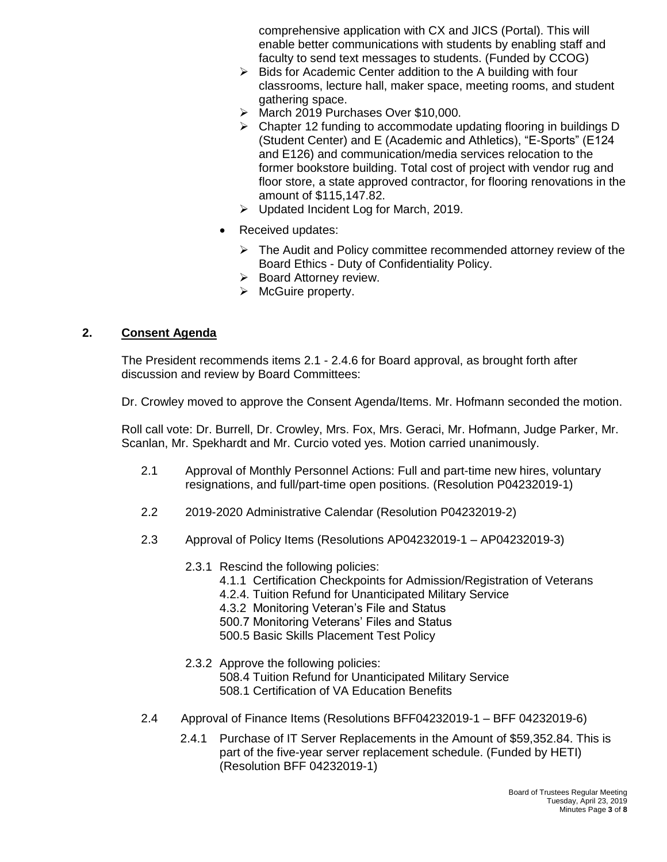comprehensive application with CX and JICS (Portal). This will enable better communications with students by enabling staff and faculty to send text messages to students. (Funded by CCOG)

- $\triangleright$  Bids for Academic Center addition to the A building with four classrooms, lecture hall, maker space, meeting rooms, and student gathering space.
- March 2019 Purchases Over \$10,000.
- $\triangleright$  Chapter 12 funding to accommodate updating flooring in buildings D (Student Center) and E (Academic and Athletics), "E-Sports" (E124 and E126) and communication/media services relocation to the former bookstore building. Total cost of project with vendor rug and floor store, a state approved contractor, for flooring renovations in the amount of \$115,147.82.
- $\triangleright$  Updated Incident Log for March, 2019.
- Received updates:
	- $\triangleright$  The Audit and Policy committee recommended attorney review of the Board Ethics - Duty of Confidentiality Policy.
	- $\triangleright$  Board Attorney review.
	- $\triangleright$  McGuire property.

### **2. Consent Agenda**

The President recommends items 2.1 - 2.4.6 for Board approval, as brought forth after discussion and review by Board Committees:

Dr. Crowley moved to approve the Consent Agenda/Items. Mr. Hofmann seconded the motion.

Roll call vote: Dr. Burrell, Dr. Crowley, Mrs. Fox, Mrs. Geraci, Mr. Hofmann, Judge Parker, Mr. Scanlan, Mr. Spekhardt and Mr. Curcio voted yes. Motion carried unanimously.

- 2.1 Approval of Monthly Personnel Actions: Full and part-time new hires, voluntary resignations, and full/part-time open positions. (Resolution P04232019-1)
- 2.2 2019-2020 Administrative Calendar (Resolution P04232019-2)
- 2.3 Approval of Policy Items (Resolutions AP04232019-1 AP04232019-3)
	- 2.3.1 Rescind the following policies:
		- 4.1.1 Certification Checkpoints for Admission/Registration of Veterans
		- 4.2.4. Tuition Refund for Unanticipated Military Service
		- 4.3.2 Monitoring Veteran's File and Status
		- 500.7 Monitoring Veterans' Files and Status
		- 500.5 Basic Skills Placement Test Policy
	- 2.3.2 Approve the following policies:
		- 508.4 Tuition Refund for Unanticipated Military Service 508.1 Certification of VA Education Benefits
- 2.4 Approval of Finance Items (Resolutions BFF04232019-1 BFF 04232019-6)
	- 2.4.1 Purchase of IT Server Replacements in the Amount of \$59,352.84. This is part of the five-year server replacement schedule. (Funded by HETI) (Resolution BFF 04232019-1)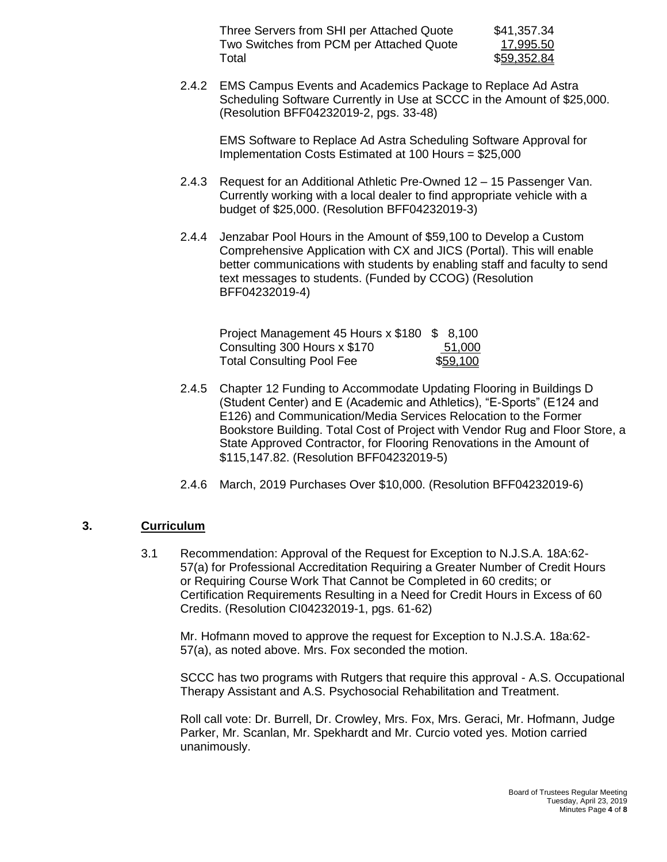| Three Servers from SHI per Attached Quote | \$41,357.34 |
|-------------------------------------------|-------------|
| Two Switches from PCM per Attached Quote  | 17,995.50   |
| Total                                     | \$59,352.84 |

2.4.2 EMS Campus Events and Academics Package to Replace Ad Astra Scheduling Software Currently in Use at SCCC in the Amount of \$25,000. (Resolution BFF04232019-2, pgs. 33-48)

EMS Software to Replace Ad Astra Scheduling Software Approval for Implementation Costs Estimated at 100 Hours = \$25,000

- 2.4.3 Request for an Additional Athletic Pre-Owned 12 15 Passenger Van. Currently working with a local dealer to find appropriate vehicle with a budget of \$25,000. (Resolution BFF04232019-3)
- 2.4.4 Jenzabar Pool Hours in the Amount of \$59,100 to Develop a Custom Comprehensive Application with CX and JICS (Portal). This will enable better communications with students by enabling staff and faculty to send text messages to students. (Funded by CCOG) (Resolution BFF04232019-4)

| Project Management 45 Hours x \$180 \$ 8,100 |                  |
|----------------------------------------------|------------------|
| Consulting 300 Hours x \$170                 | 51,000           |
| <b>Total Consulting Pool Fee</b>             | \$ <u>59,100</u> |

- 2.4.5 Chapter 12 Funding to Accommodate Updating Flooring in Buildings D (Student Center) and E (Academic and Athletics), "E-Sports" (E124 and E126) and Communication/Media Services Relocation to the Former Bookstore Building. Total Cost of Project with Vendor Rug and Floor Store, a State Approved Contractor, for Flooring Renovations in the Amount of \$115,147.82. (Resolution BFF04232019-5)
- 2.4.6 March, 2019 Purchases Over \$10,000. (Resolution BFF04232019-6)

### **3. Curriculum**

3.1 Recommendation: Approval of the Request for Exception to N.J.S.A. 18A:62- 57(a) for Professional Accreditation Requiring a Greater Number of Credit Hours or Requiring Course Work That Cannot be Completed in 60 credits; or Certification Requirements Resulting in a Need for Credit Hours in Excess of 60 Credits. (Resolution CI04232019-1, pgs. 61-62)

Mr. Hofmann moved to approve the request for Exception to N.J.S.A. 18a:62- 57(a), as noted above. Mrs. Fox seconded the motion.

SCCC has two programs with Rutgers that require this approval - A.S. Occupational Therapy Assistant and A.S. Psychosocial Rehabilitation and Treatment.

Roll call vote: Dr. Burrell, Dr. Crowley, Mrs. Fox, Mrs. Geraci, Mr. Hofmann, Judge Parker, Mr. Scanlan, Mr. Spekhardt and Mr. Curcio voted yes. Motion carried unanimously.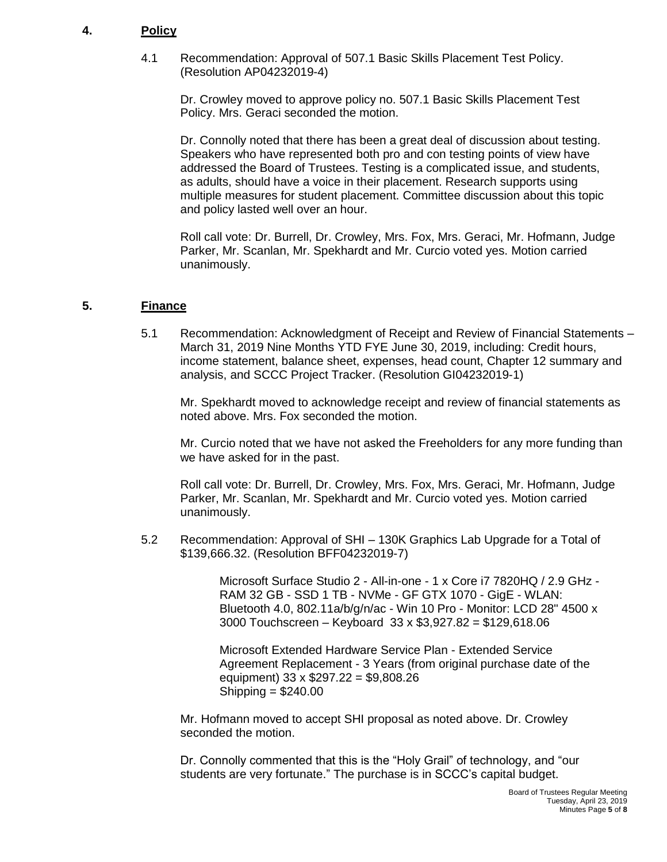### **4. Policy**

4.1 Recommendation: Approval of 507.1 Basic Skills Placement Test Policy. (Resolution AP04232019-4)

Dr. Crowley moved to approve policy no. 507.1 Basic Skills Placement Test Policy. Mrs. Geraci seconded the motion.

Dr. Connolly noted that there has been a great deal of discussion about testing. Speakers who have represented both pro and con testing points of view have addressed the Board of Trustees. Testing is a complicated issue, and students, as adults, should have a voice in their placement. Research supports using multiple measures for student placement. Committee discussion about this topic and policy lasted well over an hour.

Roll call vote: Dr. Burrell, Dr. Crowley, Mrs. Fox, Mrs. Geraci, Mr. Hofmann, Judge Parker, Mr. Scanlan, Mr. Spekhardt and Mr. Curcio voted yes. Motion carried unanimously.

#### **5. Finance**

5.1 Recommendation: Acknowledgment of Receipt and Review of Financial Statements – March 31, 2019 Nine Months YTD FYE June 30, 2019, including: Credit hours, income statement, balance sheet, expenses, head count, Chapter 12 summary and analysis, and SCCC Project Tracker. (Resolution GI04232019-1)

Mr. Spekhardt moved to acknowledge receipt and review of financial statements as noted above. Mrs. Fox seconded the motion.

Mr. Curcio noted that we have not asked the Freeholders for any more funding than we have asked for in the past.

Roll call vote: Dr. Burrell, Dr. Crowley, Mrs. Fox, Mrs. Geraci, Mr. Hofmann, Judge Parker, Mr. Scanlan, Mr. Spekhardt and Mr. Curcio voted yes. Motion carried unanimously.

5.2 Recommendation: Approval of SHI – 130K Graphics Lab Upgrade for a Total of \$139,666.32. (Resolution BFF04232019-7)

> Microsoft Surface Studio 2 - All-in-one - 1 x Core i7 7820HQ / 2.9 GHz - RAM 32 GB - SSD 1 TB - NVMe - GF GTX 1070 - GigE - WLAN: Bluetooth 4.0, 802.11a/b/g/n/ac - Win 10 Pro - Monitor: LCD 28" 4500 x 3000 Touchscreen – Keyboard 33 x \$3,927.82 = \$129,618.06

Microsoft Extended Hardware Service Plan - Extended Service Agreement Replacement - 3 Years (from original purchase date of the equipment) 33 x \$297.22 = \$9,808.26 Shipping = \$240.00

Mr. Hofmann moved to accept SHI proposal as noted above. Dr. Crowley seconded the motion.

Dr. Connolly commented that this is the "Holy Grail" of technology, and "our students are very fortunate." The purchase is in SCCC's capital budget.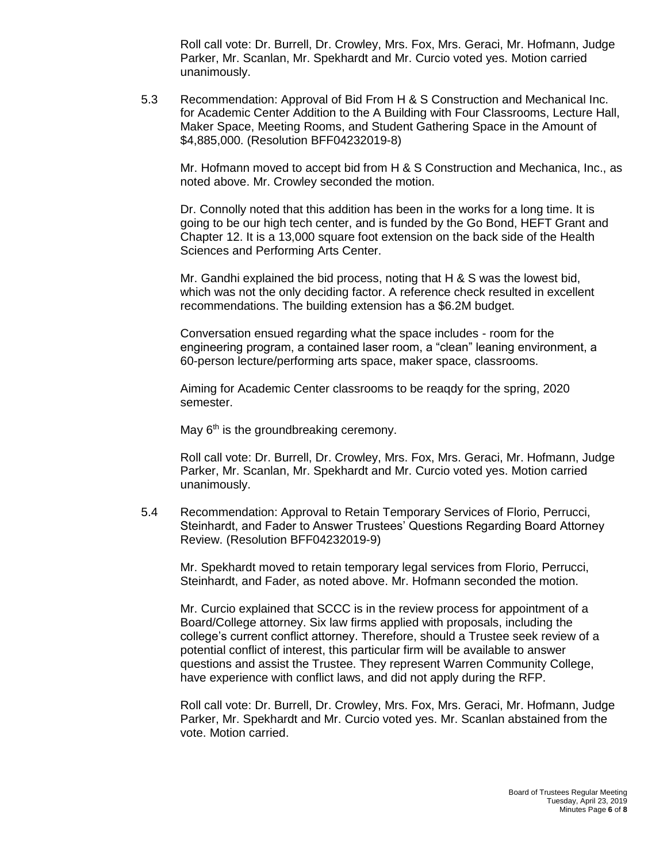Roll call vote: Dr. Burrell, Dr. Crowley, Mrs. Fox, Mrs. Geraci, Mr. Hofmann, Judge Parker, Mr. Scanlan, Mr. Spekhardt and Mr. Curcio voted yes. Motion carried unanimously.

5.3 Recommendation: Approval of Bid From H & S Construction and Mechanical Inc. for Academic Center Addition to the A Building with Four Classrooms, Lecture Hall, Maker Space, Meeting Rooms, and Student Gathering Space in the Amount of \$4,885,000. (Resolution BFF04232019-8)

Mr. Hofmann moved to accept bid from H & S Construction and Mechanica, Inc., as noted above. Mr. Crowley seconded the motion.

Dr. Connolly noted that this addition has been in the works for a long time. It is going to be our high tech center, and is funded by the Go Bond, HEFT Grant and Chapter 12. It is a 13,000 square foot extension on the back side of the Health Sciences and Performing Arts Center.

Mr. Gandhi explained the bid process, noting that H & S was the lowest bid, which was not the only deciding factor. A reference check resulted in excellent recommendations. The building extension has a \$6.2M budget.

Conversation ensued regarding what the space includes - room for the engineering program, a contained laser room, a "clean" leaning environment, a 60-person lecture/performing arts space, maker space, classrooms.

Aiming for Academic Center classrooms to be reaqdy for the spring, 2020 semester.

May  $6<sup>th</sup>$  is the groundbreaking ceremony.

Roll call vote: Dr. Burrell, Dr. Crowley, Mrs. Fox, Mrs. Geraci, Mr. Hofmann, Judge Parker, Mr. Scanlan, Mr. Spekhardt and Mr. Curcio voted yes. Motion carried unanimously.

5.4 Recommendation: Approval to Retain Temporary Services of Florio, Perrucci, Steinhardt, and Fader to Answer Trustees' Questions Regarding Board Attorney Review. (Resolution BFF04232019-9)

Mr. Spekhardt moved to retain temporary legal services from Florio, Perrucci, Steinhardt, and Fader, as noted above. Mr. Hofmann seconded the motion.

Mr. Curcio explained that SCCC is in the review process for appointment of a Board/College attorney. Six law firms applied with proposals, including the college's current conflict attorney. Therefore, should a Trustee seek review of a potential conflict of interest, this particular firm will be available to answer questions and assist the Trustee. They represent Warren Community College, have experience with conflict laws, and did not apply during the RFP.

Roll call vote: Dr. Burrell, Dr. Crowley, Mrs. Fox, Mrs. Geraci, Mr. Hofmann, Judge Parker, Mr. Spekhardt and Mr. Curcio voted yes. Mr. Scanlan abstained from the vote. Motion carried.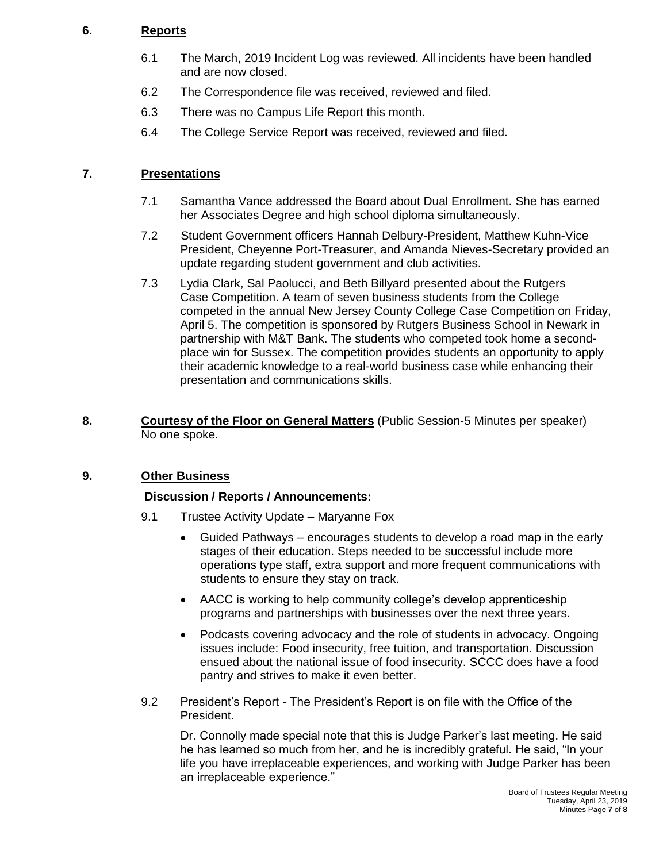### **6. Reports**

- 6.1 The March, 2019 Incident Log was reviewed. All incidents have been handled and are now closed.
- 6.2 The Correspondence file was received, reviewed and filed.
- 6.3 There was no Campus Life Report this month.
- 6.4 The College Service Report was received, reviewed and filed.

## **7. Presentations**

- 7.1 Samantha Vance addressed the Board about Dual Enrollment. She has earned her Associates Degree and high school diploma simultaneously.
- 7.2 Student Government officers Hannah Delbury-President, Matthew Kuhn-Vice President, Cheyenne Port-Treasurer, and Amanda Nieves-Secretary provided an update regarding student government and club activities.
- 7.3 Lydia Clark, Sal Paolucci, and Beth Billyard presented about the Rutgers Case Competition. A team of seven business students from the College competed in the annual New Jersey County College Case Competition on Friday, April 5. The competition is sponsored by Rutgers Business School in Newark in partnership with M&T Bank. The students who competed took home a secondplace win for Sussex. The competition provides students an opportunity to apply their academic knowledge to a real-world business case while enhancing their presentation and communications skills.
- **8. Courtesy of the Floor on General Matters** (Public Session-5 Minutes per speaker) No one spoke.

### **9. Other Business**

### **Discussion / Reports / Announcements:**

- 9.1 Trustee Activity Update Maryanne Fox
	- Guided Pathways encourages students to develop a road map in the early stages of their education. Steps needed to be successful include more operations type staff, extra support and more frequent communications with students to ensure they stay on track.
	- AACC is working to help community college's develop apprenticeship programs and partnerships with businesses over the next three years.
	- Podcasts covering advocacy and the role of students in advocacy. Ongoing issues include: Food insecurity, free tuition, and transportation. Discussion ensued about the national issue of food insecurity. SCCC does have a food pantry and strives to make it even better.
- 9.2 President's Report The President's Report is on file with the Office of the President.

Dr. Connolly made special note that this is Judge Parker's last meeting. He said he has learned so much from her, and he is incredibly grateful. He said, "In your life you have irreplaceable experiences, and working with Judge Parker has been an irreplaceable experience."